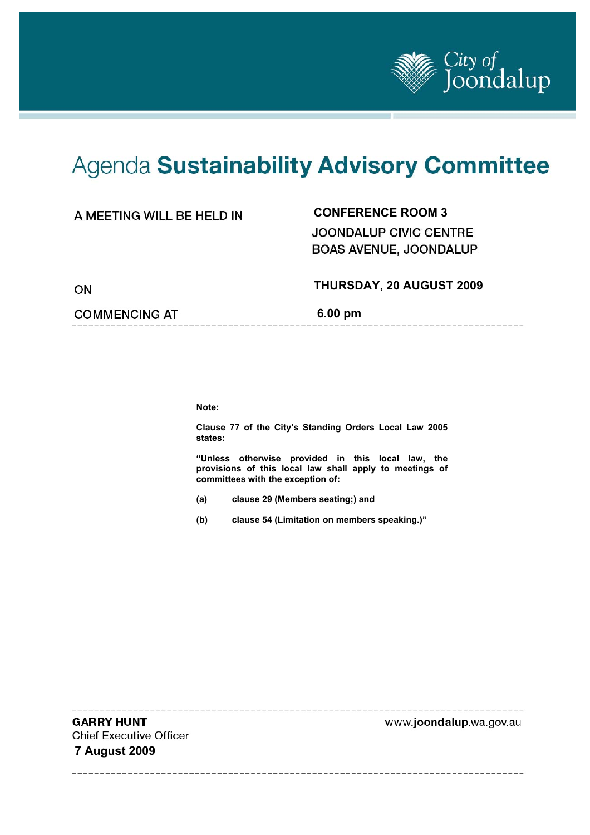

# Agenda Sustainability Advisory Committee

## **CONFERENCE ROOM 3**

JOONDALUP CIVIC CENTRE BOAS AVENUE, JOONDALUP

#### **THURSDAY, 20 AUGUST 2009**

**COMMENCING AT** 6.00 pm

**Note:** 

**Clause 77 of the City's Standing Orders Local Law 2005 states:** 

**"Unless otherwise provided in this local law, the provisions of this local law shall apply to meetings of committees with the exception of:** 

- **(a) clause 29 (Members seating;) and**
- **(b) clause 54 (Limitation on members speaking.)"**

**GARRY HUNT** www.joondalup.wa.gov.au **Chief Executive Officer 7 August 2009**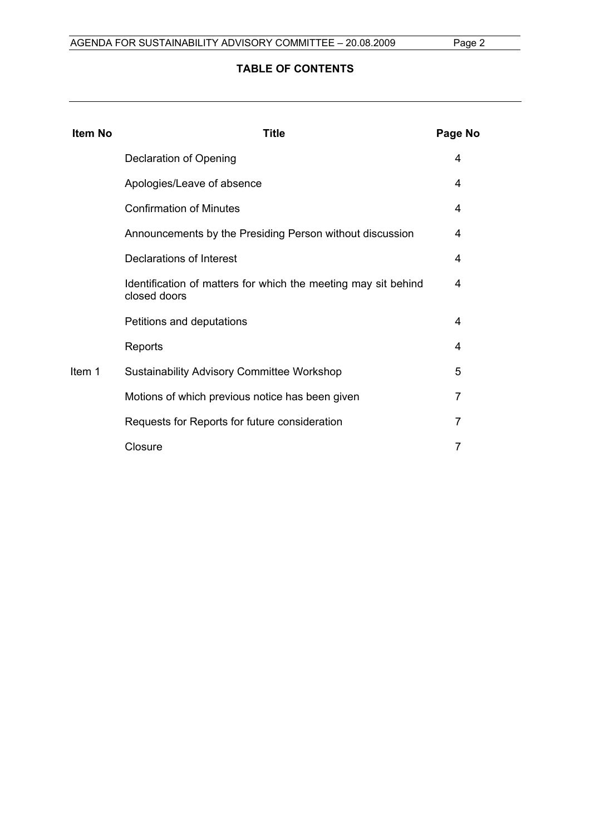### **TABLE OF CONTENTS**

| <b>Item No</b> | Title                                                                          | Page No |
|----------------|--------------------------------------------------------------------------------|---------|
|                | Declaration of Opening                                                         | 4       |
|                | Apologies/Leave of absence                                                     | 4       |
|                | <b>Confirmation of Minutes</b>                                                 | 4       |
|                | Announcements by the Presiding Person without discussion                       | 4       |
|                | Declarations of Interest                                                       | 4       |
|                | Identification of matters for which the meeting may sit behind<br>closed doors | 4       |
|                | Petitions and deputations                                                      | 4       |
|                | Reports                                                                        | 4       |
| Item 1         | <b>Sustainability Advisory Committee Workshop</b>                              | 5       |
|                | Motions of which previous notice has been given                                | 7       |
|                | Requests for Reports for future consideration                                  | 7       |
|                | Closure                                                                        | 7       |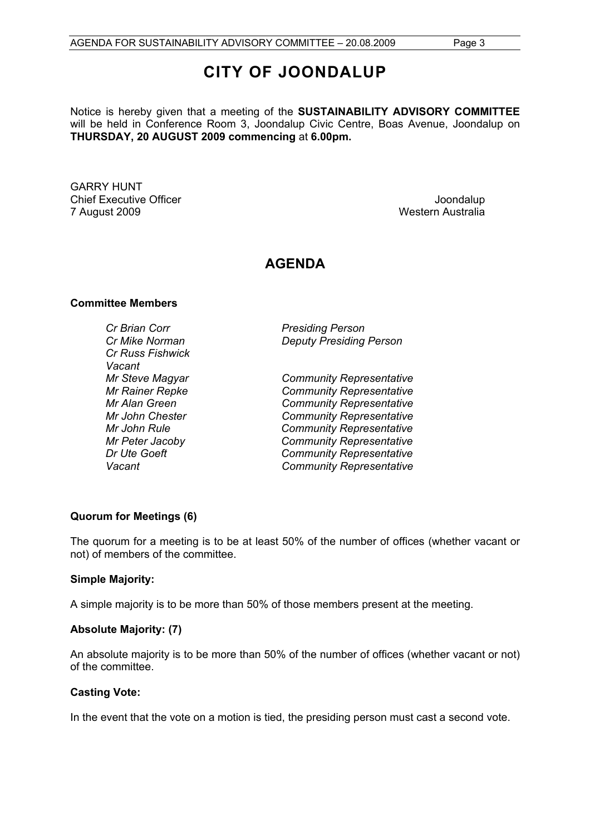## **CITY OF JOONDALUP**

Notice is hereby given that a meeting of the **SUSTAINABILITY ADVISORY COMMITTEE**  will be held in Conference Room 3, Joondalup Civic Centre, Boas Avenue, Joondalup on **THURSDAY, 20 AUGUST 2009 commencing** at **6.00pm.** 

GARRY HUNT Chief Executive Officer  $\Box$  Joondalup Joondalup 7 August 2009 Western Australia

## **AGENDA**

#### **Committee Members**

*Cr Brian Corr Presiding Person Cr Russ Fishwick Vacant* 

*Cr Mike Norman Deputy Presiding Person* 

*Mr Steve Magyar Community Representative Mr Rainer Repke Community Representative Mr Alan Green Community Representative Mr John Chester Community Representative Mr John Rule Community Representative Mr Peter Jacoby Community Representative Dr Ute Goeft Community Representative Vacant Community Representative* 

#### **Quorum for Meetings (6)**

The quorum for a meeting is to be at least 50% of the number of offices (whether vacant or not) of members of the committee.

#### **Simple Majority:**

A simple majority is to be more than 50% of those members present at the meeting.

#### **Absolute Majority: (7)**

An absolute majority is to be more than 50% of the number of offices (whether vacant or not) of the committee.

#### **Casting Vote:**

In the event that the vote on a motion is tied, the presiding person must cast a second vote.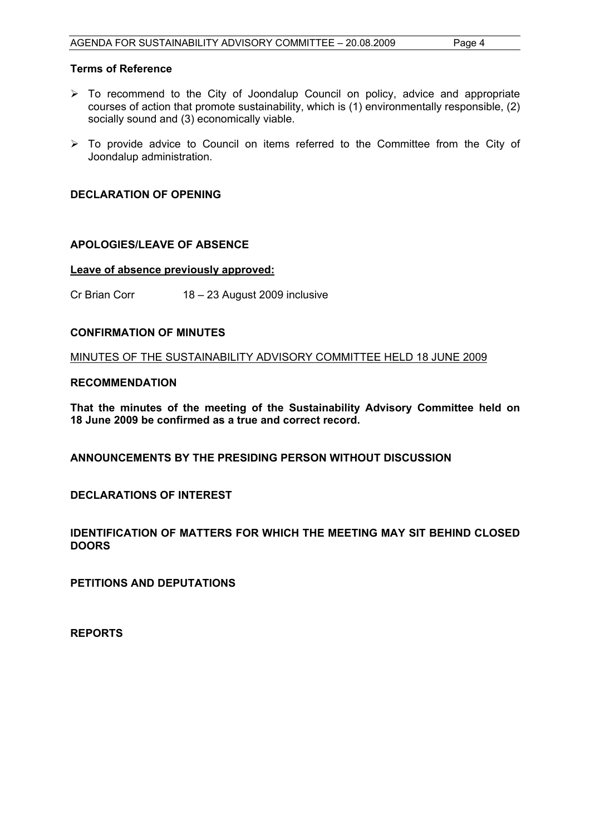#### **Terms of Reference**

- $\triangleright$  To recommend to the City of Joondalup Council on policy, advice and appropriate courses of action that promote sustainability, which is (1) environmentally responsible, (2) socially sound and (3) economically viable.
- $\triangleright$  To provide advice to Council on items referred to the Committee from the City of Joondalup administration.

#### **DECLARATION OF OPENING**

#### **APOLOGIES/LEAVE OF ABSENCE**

#### **Leave of absence previously approved:**

Cr Brian Corr 18 – 23 August 2009 inclusive

#### **CONFIRMATION OF MINUTES**

MINUTES OF THE SUSTAINABILITY ADVISORY COMMITTEE HELD 18 JUNE 2009

#### **RECOMMENDATION**

**That the minutes of the meeting of the Sustainability Advisory Committee held on 18 June 2009 be confirmed as a true and correct record.** 

**ANNOUNCEMENTS BY THE PRESIDING PERSON WITHOUT DISCUSSION** 

**DECLARATIONS OF INTEREST** 

**IDENTIFICATION OF MATTERS FOR WHICH THE MEETING MAY SIT BEHIND CLOSED DOORS** 

**PETITIONS AND DEPUTATIONS** 

**REPORTS**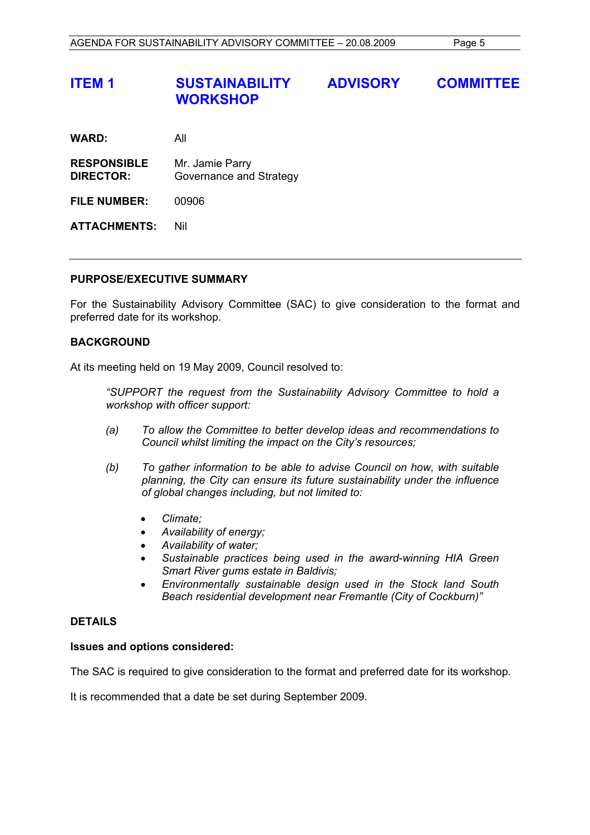## **ITEM 1 SUSTAINABILITY ADVISORY COMMITTEE WORKSHOP**

| <b>WARD:</b> | All |  |
|--------------|-----|--|
|              |     |  |

**RESPONSIBLE** Mr. Jamie Parry **DIRECTOR:** Governance and Strategy

**FILE NUMBER:** 00906

**ATTACHMENTS:** Nil

#### **PURPOSE/EXECUTIVE SUMMARY**

For the Sustainability Advisory Committee (SAC) to give consideration to the format and preferred date for its workshop.

#### **BACKGROUND**

At its meeting held on 19 May 2009, Council resolved to:

 *"SUPPORT the request from the Sustainability Advisory Committee to hold a workshop with officer support:* 

- *(a) To allow the Committee to better develop ideas and recommendations to Council whilst limiting the impact on the City's resources;*
- *(b) To gather information to be able to advise Council on how, with suitable planning, the City can ensure its future sustainability under the influence of global changes including, but not limited to:* 
	- *Climate;*
	- *Availability of energy;*
	- *Availability of water;*
	- *Sustainable practices being used in the award-winning HIA Green Smart River gums estate in Baldivis;*
	- *Environmentally sustainable design used in the Stock land South Beach residential development near Fremantle (City of Cockburn)"*

#### **DETAILS**

#### **Issues and options considered:**

The SAC is required to give consideration to the format and preferred date for its workshop.

It is recommended that a date be set during September 2009.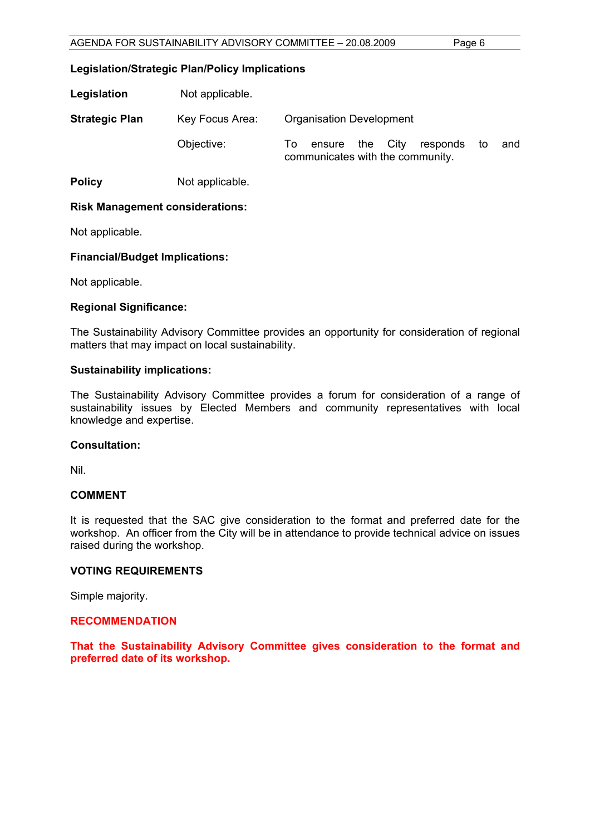#### **Legislation/Strategic Plan/Policy Implications**

| Legislation           | Not applicable. |                                                                                    |
|-----------------------|-----------------|------------------------------------------------------------------------------------|
| <b>Strategic Plan</b> | Key Focus Area: | <b>Organisation Development</b>                                                    |
|                       | Objective:      | ensure the City<br>and<br>responds<br>To<br>to<br>communicates with the community. |
| <b>Policy</b>         | Not applicable. |                                                                                    |

#### **Risk Management considerations:**

Not applicable.

#### **Financial/Budget Implications:**

Not applicable.

#### **Regional Significance:**

The Sustainability Advisory Committee provides an opportunity for consideration of regional matters that may impact on local sustainability.

#### **Sustainability implications:**

The Sustainability Advisory Committee provides a forum for consideration of a range of sustainability issues by Elected Members and community representatives with local knowledge and expertise.

#### **Consultation:**

Nil.

#### **COMMENT**

It is requested that the SAC give consideration to the format and preferred date for the workshop. An officer from the City will be in attendance to provide technical advice on issues raised during the workshop.

#### **VOTING REQUIREMENTS**

Simple majority.

#### **RECOMMENDATION**

**That the Sustainability Advisory Committee gives consideration to the format and preferred date of its workshop.**